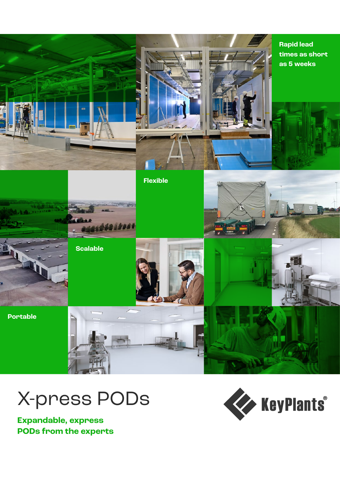



**Expandable, express PODs from the experts**

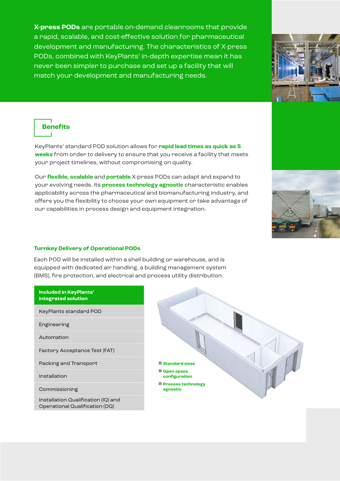**X-press PODs** are portable on-demand cleanrooms that provide a rapid, scalable, and cost-effective solution for pharmaceutical development and manufacturing. The characteristics of X-press PODs, combined with KeyPlants' in-depth expertise mean it has never been simpler to purchase and set up a facility that will match your development and manufacturing needs.



**Benefits**

KeyPlants' standard POD solution allows for **rapid lead times as quick as 5 weeks** from order to delivery to ensure that you receive a facility that meets your project timelines, without compromising on quality.

Our **flexible, scalable** and **portable** X-press PODs can adapt and expand to your evolving needs. Its **process technology agnostic** characteristic enables applicability across the pharmaceutical and biomanufacturing industry, and offers you the flexibility to choose your own equipment or take advantage of our capabilities in process design and equipment integration.



Each POD will be installed within a shell building or warehouse, and is equipped with dedicated air handling, a building management system (BMS), fire protection, and electrical and process utility distribution.

**Included in KeyPlants' integrated solution** KeyPlants standard POD

Engineering

Automation

Factory Acceptance Test (FAT)

Packing and Transport

Installation

Commissioning

Installation Qualification (IQ) and Operational Qualification (OQ)



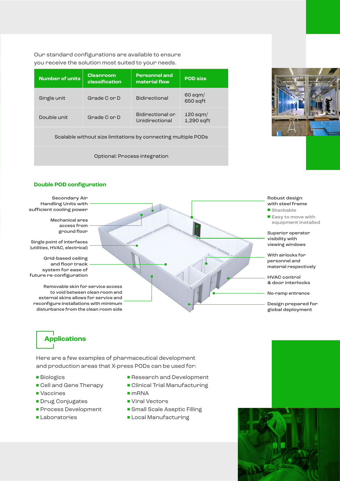Our standard configurations are available to ensure you receive the solution most suited to your needs.

| <b>Number of units</b>                                        | <b>Cleanroom</b><br>classification | <b>Personnel and</b><br>material flow | <b>POD size</b>            |
|---------------------------------------------------------------|------------------------------------|---------------------------------------|----------------------------|
| Single unit                                                   | Grade C or D                       | <b>Bidinectional</b>                  | $60$ sqm/<br>650 sqft      |
| Double unit                                                   | Grade C or D                       | Bidirectional or<br>Unidirectional    | $120$ sqm/<br>$1,290$ sqft |
| Scalable without size limitations by connecting multiple PODs |                                    |                                       |                            |

Optional: Process integration



## **Double POD configuration**

Secondary Air Handling Units with sufficient cooling power

> Mechanical area access from ground floor

Single point of interfaces (utilities, HVAC, electrical)

Grid-based ceiling and floor track system for ease of future re-configuration

Removable skin for service access to void between clean room and external skins allows for service and reconfigure installations with minimum disturbance from the clean room side

## Robust design with steel frame

- Stackable
- Easy to move with equipment installed

Superior operator visibility with viewing windows

With airlocks for personnel and material respectively

HVAC control & door interlocks

No-ramp entrance

Design prepared for global deployment

## **Applications**

Here are a few examples of pharmaceutical development and production areas that X-press PODs can be used for:

- Biologics
- Cell and Gene Therapy
- Vaccines
- Drug Conjugates
- Process Development
- Laboratories
- Research and Development
- Clinical Trial Manufacturing
- mRNA
- Viral Vectors
- Small Scale Aseptic Filling
- Local Manufacturing